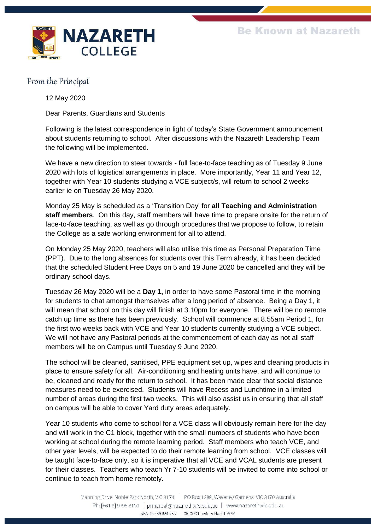

From the Principal

12 May 2020

Dear Parents, Guardians and Students

Following is the latest correspondence in light of today's State Government announcement about students returning to school. After discussions with the Nazareth Leadership Team the following will be implemented.

We have a new direction to steer towards - full face-to-face teaching as of Tuesday 9 June 2020 with lots of logistical arrangements in place. More importantly, Year 11 and Year 12, together with Year 10 students studying a VCE subject/s, will return to school 2 weeks earlier ie on Tuesday 26 May 2020.

Monday 25 May is scheduled as a 'Transition Day' for **all Teaching and Administration staff members**. On this day, staff members will have time to prepare onsite for the return of face-to-face teaching, as well as go through procedures that we propose to follow, to retain the College as a safe working environment for all to attend.

On Monday 25 May 2020, teachers will also utilise this time as Personal Preparation Time (PPT). Due to the long absences for students over this Term already, it has been decided that the scheduled Student Free Days on 5 and 19 June 2020 be cancelled and they will be ordinary school days.

Tuesday 26 May 2020 will be a **Day 1,** in order to have some Pastoral time in the morning for students to chat amongst themselves after a long period of absence. Being a Day 1, it will mean that school on this day will finish at 3.10pm for everyone. There will be no remote catch up time as there has been previously. School will commence at 8.55am Period 1, for the first two weeks back with VCE and Year 10 students currently studying a VCE subject. We will not have any Pastoral periods at the commencement of each day as not all staff members will be on Campus until Tuesday 9 June 2020.

The school will be cleaned, sanitised, PPE equipment set up, wipes and cleaning products in place to ensure safety for all. Air-conditioning and heating units have, and will continue to be, cleaned and ready for the return to school. It has been made clear that social distance measures need to be exercised. Students will have Recess and Lunchtime in a limited number of areas during the first two weeks. This will also assist us in ensuring that all staff on campus will be able to cover Yard duty areas adequately.

Year 10 students who come to school for a VCE class will obviously remain here for the day and will work in the C1 block, together with the small numbers of students who have been working at school during the remote learning period. Staff members who teach VCE, and other year levels, will be expected to do their remote learning from school. VCE classes will be taught face-to-face only, so it is imperative that all VCE and VCAL students are present for their classes. Teachers who teach Yr 7-10 students will be invited to come into school or continue to teach from home remotely.